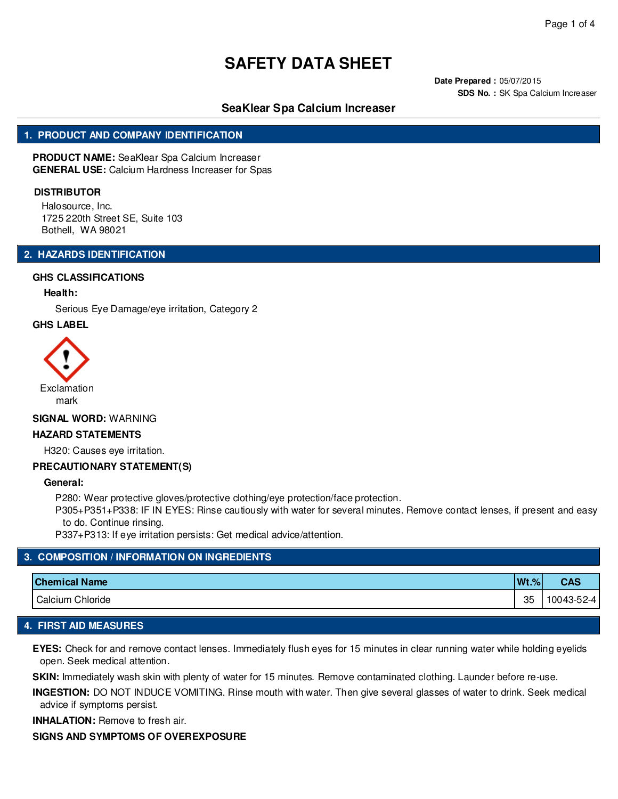**Date Prepared :** 05/07/2015 **SDS No. :** SK Spa Calcium Increaser

# **SeaKlear Spa Calcium Increaser**

### **1. PRODUCT AND COMPANY IDENTIFICATION**

**PRODUCT NAME:** SeaKlear Spa Calcium Increaser **GENERAL USE:** Calcium Hardness Increaser for Spas

#### **DISTRIBUTOR**

Halosource, Inc. 1725 220th Street SE, Suite 103 Bothell, WA 98021

### **2. HAZARDS IDENTIFICATION**

#### **GHS CLASSIFICATIONS**

#### **Health:**

Serious Eye Damage/eye irritation, Category 2

#### **GHS LABEL**



#### **SIGNAL WORD:** WARNING

#### **HAZARD STATEMENTS**

H320: Causes eye irritation.

#### **PRECAUTIONARY STATEMENT(S)**

**General:**

P280: Wear protective gloves/protective clothing/eye protection/face protection.

P305+P351+P338: IF IN EYES: Rinse cautiously with water for several minutes. Remove contact lenses, if present and easy to do. Continue rinsing.

P337+P313: If eye irritation persists: Get medical advice/attention.

### **3. COMPOSITION / INFORMATION ON INGREDIENTS**

| <b>Chemical Name</b> | $Wt.$ % | <b>CAS</b> |
|----------------------|---------|------------|
| Calcium Chloride     | 35      | 10043-52-4 |

### **4. FIRST AID MEASURES**

**EYES:** Check for and remove contact lenses. Immediately flush eyes for 15 minutes in clear running water while holding eyelids open. Seek medical attention.

**SKIN:** Immediately wash skin with plenty of water for 15 minutes. Remove contaminated clothing. Launder before re-use.

**INGESTION:** DO NOT INDUCE VOMITING. Rinse mouth with water. Then give several glasses of water to drink. Seek medical advice if symptoms persist.

**INHALATION:** Remove to fresh air.

#### **SIGNS AND SYMPTOMS OF OVEREXPOSURE**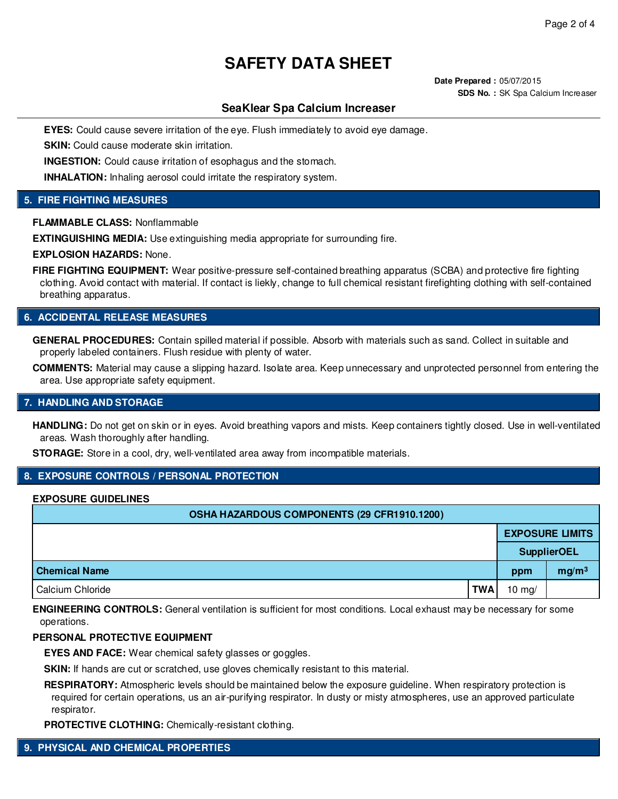**Date Prepared :** 05/07/2015 **SDS No. :** SK Spa Calcium Increaser

# **SeaKlear Spa Calcium Increaser**

**EYES:** Could cause severe irritation of the eye. Flush immediately to avoid eye damage.

**SKIN:** Could cause moderate skin irritation.

**INGESTION:** Could cause irritation of esophagus and the stomach.

**INHALATION:** Inhaling aerosol could irritate the respiratory system.

# **5. FIRE FIGHTING MEASURES**

**FLAMMABLE CLASS:** Nonflammable

**EXTINGUISHING MEDIA:** Use extinguishing media appropriate for surrounding fire.

**EXPLOSION HAZARDS:** None.

FIRE FIGHTING EQUIPMENT: Wear positive-pressure self-contained breathing apparatus (SCBA) and protective fire fighting clothing. Avoid contact with material. If contact is liekly, change to full chemical resistant firefighting clothing with self-contained breathing apparatus.

#### **6. ACCIDENTAL RELEASE MEASURES**

**GENERAL PROCEDURES:** Contain spilled material if possible. Absorb with materials such as sand. Collect in suitable and properly labeled containers. Flush residue with plenty of water.

**COMMENTS:** Material may cause a slipping hazard. Isolate area. Keep unnecessary and unprotected personnel from entering the area. Use appropriate safety equipment.

#### **7. HANDLING AND STORAGE**

**HANDLING:** Do not get on skin or in eyes. Avoid breathing vapors and mists. Keep containers tightly closed. Use in well-ventilated areas. Wash thoroughly after handling.

**STORAGE:** Store in a cool, dry, well-ventilated area away from incompatible materials.

# **8. EXPOSURE CONTROLS / PERSONAL PROTECTION**

#### **EXPOSURE GUIDELINES**

| OSHA HAZARDOUS COMPONENTS (29 CFR1910.1200) |            |                    |                        |  |
|---------------------------------------------|------------|--------------------|------------------------|--|
|                                             |            |                    | <b>EXPOSURE LIMITS</b> |  |
|                                             |            | <b>SupplierOEL</b> |                        |  |
| <b>Chemical Name</b>                        |            | ppm                | mg/m <sup>3</sup>      |  |
| Calcium Chloride                            | <b>TWA</b> | 10 $mg/$           |                        |  |

**ENGINEERING CONTROLS:** General ventilation is sufficient for most conditions. Local exhaust may be necessary for some operations.

#### **PERSONAL PROTECTIVE EQUIPMENT**

**EYES AND FACE:** Wear chemical safety glasses or goggles.

**SKIN:** If hands are cut or scratched, use gloves chemically resistant to this material.

**RESPIRATORY:** Atmospheric levels should be maintained below the exposure guideline. When respiratory protection is required for certain operations, us an air-purifying respirator. In dusty or misty atmospheres, use an approved particulate respirator.

**PROTECTIVE CLOTHING:** Chemically-resistant clothing.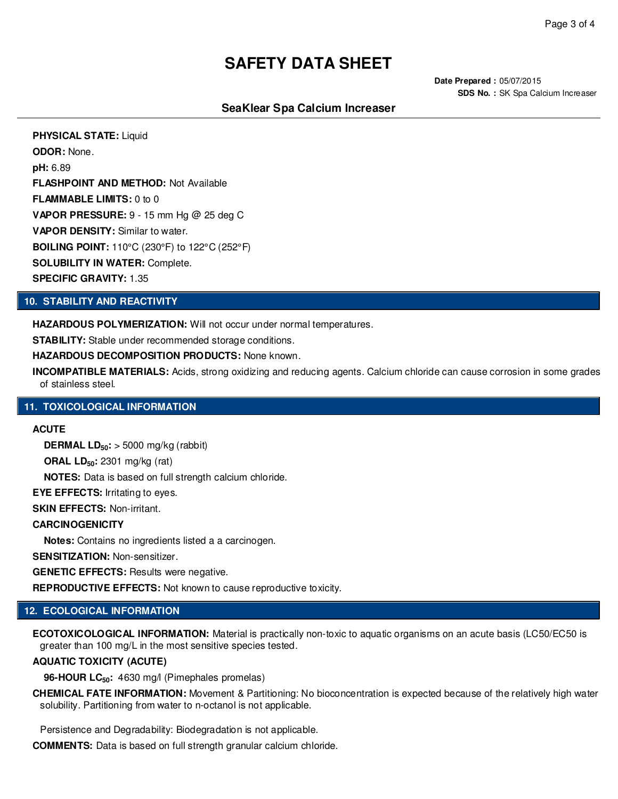**Date Prepared :** 05/07/2015 **SDS No. :** SK Spa Calcium Increaser

# **SeaKlear Spa Calcium Increaser**

**PHYSICAL STATE:** Liquid **ODOR:** None. **pH:** 6.89 **FLASHPOINT AND METHOD:** Not Available **FLAMMABLE LIMITS:** 0 to 0 **VAPOR PRESSURE:** 9 - 15 mm Hg @ 25 deg C **VAPOR DENSITY:** Similar to water. **BOILING POINT:** 110°C (230°F) to 122°C (252°F) **SOLUBILITY IN WATER:** Complete. **SPECIFIC GRAVITY:** 1.35

### **10. STABILITY AND REACTIVITY**

**HAZARDOUS POLYMERIZATION:** Will not occur under normal temperatures.

**STABILITY:** Stable under recommended storage conditions.

**HAZARDOUS DECOMPOSITION PRODUCTS:** None known.

**INCOMPATIBLE MATERIALS:** Acids, strong oxidizing and reducing agents. Calcium chloride can cause corrosion in some grades of stainless steel.

### **11. TOXICOLOGICAL INFORMATION**

### **ACUTE**

**DERMAL LD50:** > 5000 mg/kg (rabbit)

**ORAL LD50:** 2301 mg/kg (rat)

**NOTES:** Data is based on full strength calcium chloride.

**EYE EFFECTS:** Irritating to eyes.

**SKIN EFFECTS:** Non-irritant.

#### **CARCINOGENICITY**

**Notes:** Contains no ingredients listed a a carcinogen.

**SENSITIZATION:** Non-sensitizer.

**GENETIC EFFECTS:** Results were negative.

**REPRODUCTIVE EFFECTS:** Not known to cause reproductive toxicity.

# **12. ECOLOGICAL INFORMATION**

**ECOTOXICOLOGICAL INFORMATION:** Material is practically non-toxic to aquatic organisms on an acute basis (LC50/EC50 is greater than 100 mg/L in the most sensitive species tested.

# **AQUATIC TOXICITY (ACUTE)**

**96-HOUR LC50:** 4630 mg/l (Pimephales promelas)

**CHEMICAL FATE INFORMATION:** Movement & Partitioning: No bioconcentration is expected because of the relatively high water solubility. Partitioning from water to n-octanol is not applicable.

Persistence and Degradability: Biodegradation is not applicable.

**COMMENTS:** Data is based on full strength granular calcium chloride.